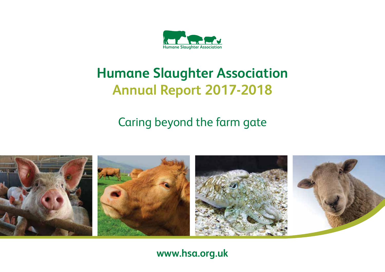

# **Humane Slaughter Association Annual Report 2017-2018**

Caring beyond the farm gate



# **www.hsa.org.uk**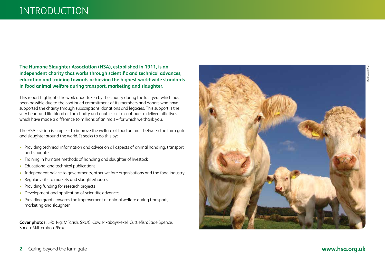# INTRODUCTION

**The Humane Slaughter Association (HSA), established in 1911, is an independent charity that works through scientific and technical advances, education and training towards achieving the highest world-wide standards in food animal welfare during transport, marketing and slaughter.**

This report highlights the work undertaken by the charity during the last year which has been possible due to the continued commitment of its members and donors who have supported the charity through subscriptions, donations and legacies. This support is the very heart and life-blood of the charity and enables us to continue to deliver initiatives which have made a difference to millions of animals – for which we thank you.

The HSA's vision is simple – to improve the welfare of food animals between the farm gate and slaughter around the world. It seeks to do this by:

- Providing technical information and advice on all aspects of animal handling, transport and slaughter
- Training in humane methods of handling and slaughter of livestock
- Educational and technical publications
- Independent advice to governments, other welfare organisations and the food industry
- Regular visits to markets and slaughterhouses
- Providing funding for research projects
- Development and application of scientific advances
- Providing grants towards the improvement of animal welfare during transport, marketing and slaughter

**Cover photos:** L-R: Pig: MFarish, SRUC, Cow: Pixabay/Pexel, Cuttlefish: Jade Spence, Sheep: Skitterphoto/Pexel

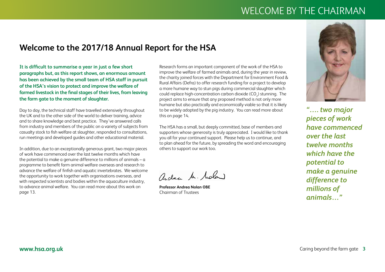# WELCOME BY THE CHAIRMAN

# **Welcome to the 2017/18 Annual Report for the HSA**

**It is difficult to summarise a year in just a few short paragraphs but, as this report shows, an enormous amount has been achieved by the small team of HSA staff in pursuit of the HSA's vision to protect and improve the welfare of farmed livestock in the final stages of their lives, from leaving the farm gate to the moment of slaughter.** 

Day to day, the technical staff have travelled extensively throughout the UK and to the other side of the world to deliver training, advice and to share knowledge and best practice. They've answered calls from industry and members of the public on a variety of subjects from casualty stock to fish welfare at slaughter, responded to consultations, run meetings and developed guides and other educational material.

In addition, due to an exceptionally generous grant, two major pieces of work have commenced over the last twelve months which have the potential to make a genuine difference to millions of animals – a programme to benefit farm animal welfare overseas and research to advance the welfare of finfish and aquatic invertebrates. We welcome the opportunity to work together with organisations overseas, and with respected scientists and bodies within the aquaculture industry, to advance animal welfare. You can read more about this work on page 13.

Research forms an important component of the work of the HSA to improve the welfare of farmed animals and, during the year in review, the charity joined forces with the Department for Environment Food & Rural Affairs (Defra) to offer research funding for a project to develop a more humane way to stun pigs during commercial slaughter which could replace high-concentration carbon dioxide (CO<sub>2</sub>) stunning. The project aims to ensure that any proposed method is not only more humane but also practically and economically viable so that it is likely to be widely adopted by the pig industry. You can read more about this on page 14.

The HSA has a small, but deeply committed, base of members and supporters whose generosity is truly appreciated. I would like to thank you all for your continued support. Please help us to continue, and to plan ahead for the future, by spreading the word and encouraging others to support our work too.

andre Mr. Moland

**Professor Andrea Nolan OBE** Chairman of Trustees



*"…. two major pieces of work have commenced over the last twelve months which have the potential to make a genuine difference to millions of animals…"*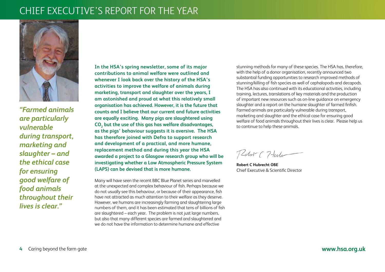# CHIEF EXECUTIVE'S REPORT FOR THE YEAR



*"Farmed animals are particularly vulnerable during transport, marketing and slaughter – and the ethical case for ensuring good welfare of food animals throughout their lives is clear."*

**In the HSA's spring newsletter, some of its major contributions to animal welfare were outlined and whenever I look back over the history of the HSA's activities to improve the welfare of animals during marketing, transport and slaughter over the years, I am astonished and proud at what this relatively small organisation has achieved. However, it is the future that counts and I believe that our current and future activities are equally exciting. Many pigs are slaughtered using CO2 but the use of this gas has welfare disadvantages, as the pigs' behaviour suggests it is aversive. The HSA has therefore joined with Defra to support research and development of a practical, and more humane, replacement method and during this year the HSA awarded a project to a Glasgow research group who will be investigating whether a Low Atmospheric Pressure System (LAPS) can be devised that is more humane.** 

Many will have seen the recent BBC Blue Planet series and marvelled at the unexpected and complex behaviour of fish. Perhaps because we do not usually see this behaviour, or because of their appearance, fish have not attracted as much attention to their welfare as they deserve. However, we humans are increasingly farming and slaughtering large numbers of them, and it has been estimated that tens of billions of fish are slaughtered – each year. The problem is not just large numbers, but also that many different species are farmed and slaughtered and we do not have the information to determine humane and effective

stunning methods for many of these species. The HSA has, therefore, with the help of a donor organisation, recently announced two substantial funding opportunities to research improved methods of stunning/killing of fish species as well of cephalopods and decapods. The HSA has also continued with its educational activities, including training, lectures, translations of key materials and the production of important new resources such as on-line guidance on emergency slaughter and a report on the humane slaughter of farmed finfish. Farmed animals are particularly vulnerable during transport, marketing and slaughter and the ethical case for ensuring good welfare of food animals throughout their lives is clear. Please help us to continue to help these animals.

Redit (7-tute

**Robert C Hubrecht OBE** Chief Executive & Scientific Director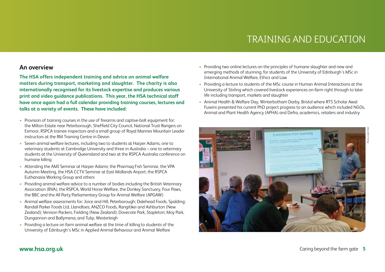# TRAINING AND EDUCATION

## **An overview**

**The HSA offers independent training and advice on animal welfare matters during transport, marketing and slaughter. The charity is also internationally recognised for its livestock expertise and produces various print and video guidance publications. This year, the HSA technical staff have once again had a full calendar providing training courses, lectures and talks at a variety of events. These have included:**

- Provision of training courses in the use of firearms and captive-bolt equipment for: the Milton Estate near Peterborough, Sheffield City Council, National Trust Rangers on Exmoor, RSPCA trainee inspectors and a small group of Royal Marines Mountain Leader instructors at the RM Training Centre in Devon
- Seven animal welfare lectures, including two to students at Harper Adams, one to veterinary students at Cambridge University and three in Australia – one to veterinary students at the University of Queensland and two at the RSPCA Australia conference on humane killing
- Attending the AMI Seminar at Harper Adams: the Pharmag Fish Seminar, the VPA Autumn Meeting, the HSA CCTV Seminar at East Midlands Airport; the RSPCA Euthanasia Working Group and others
- Providing animal welfare advice to a number of bodies including the British Veterinary Association (BVA), the RSPCA, World Horse Welfare, the Donkey Sanctuary, Four Paws, the BBC and the All Party Parliamentary Group for Animal Welfare (APGAW)
- Animal welfare assessments for: Joice and Hill, Peterborough; Dalehead Foods, Spalding; Randall Parker Foods Ltd, Llanidloes; ANZCO Foods, Rangitikei and Ashburton (New Zealand); Venison Packers, Fielding (New Zealand); Dovecote Park, Stapleton; Moy Park, Dungannon and Ballymena; and Tulip, Westerleigh
- Providing a lecture on farm animal welfare at the time of killing to students of the University of Edinburgh's MSc in Applied Animal Behaviour and Animal Welfare
- Providing two online lectures on the principles of humane slaughter and new and emerging methods of stunning, for students of the University of Edinburgh's MSc in International Animal Welfare, Ethics and Law
- Providing a lecture to students of the MSc course in Human Animal Interactions at the University of Stirling which covered livestock experiences on-farm right through to later life including transport, markets and slaughter
- Animal Health & Welfare Day, Winterbotham Darby, Bristol where RTS Scholar Awal Fuseini presented his current PhD project progress to an audience which included NGOs, Animal and Plant Health Agency (APHA) and Defra, academics, retailers and industry

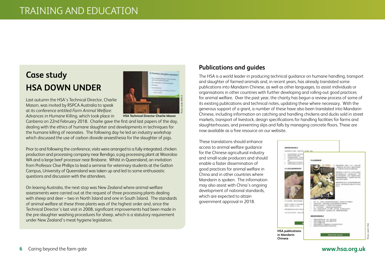# **Case study HSA DOWN UNDER**

Last autumn the HSA's Technical Director, Charlie Mason, was invited by RSPCA Australia to speak at its conference entitled *Farm Animal Welfare: Advances in Humane Killing*, which took place in

**HSA Technical Director Charlie Mason**

is humane slaughter possible!

Photo credit: RSPCA

Canberra on 22nd February 2018. Charlie gave the first and last papers of the day, dealing with the ethics of humane slaughter and developments in techniques for the humane killing of neonates. The following day he led an industry workshop which discussed the use of carbon dioxide anaesthesia for the slaughter of pigs.

Prior to and following the conference, visits were arranged to a fully-integrated, chicken production and processing company near Bendigo, a pig processing plant at Wooroloo WA and a large beef processor near Brisbane. Whilst in Queensland, an invitation from Professor Clive Phillips to lead a seminar for veterinary students at the Gatton Campus, University of Queensland was taken up and led to some enthusiastic questions and discussion with the attendees.

On leaving Australia, the next stop was New Zealand where animal welfare assessments were carried out at the request of three processing plants dealing with sheep and deer – two in North Island and one in South Island. The standards of animal welfare at these three plants was of the highest order and, since the Technical Director's last visit in 2008, significant improvements had been made in the pre-slaughter washing procedures for sheep, which is a statutory requirement under New Zealand's meat hygiene legislation.

# **Publications and guides**

The HSA is a world leader in producing technical guidance on humane handling, transport and slaughter of farmed animals and, in recent years, has already translated some publications into Mandarin Chinese, as well as other languages, to assist individuals or organisations in other countries with further developing and rolling-out good practices for animal welfare. Over the past year, the charity has begun a review process of some of its existing publications and technical notes, updating these where necessary. With the generous support of a grant, a number of these have also been translated into Mandarin Chinese, including information on catching and handling chickens and ducks sold in street markets, transport of livestock, design specifications for handling facilities for farms and slaughterhouses, and preventing slips and falls by managing concrete floors. These are now available as a free resource on our website.

These translations should enhance access to animal welfare guidance for the Chinese agricultural industry and small-scale producers and should enable a faster dissemination of good practices for animal welfare in China and in other countries where Mandarin is spoken. The information may also assist with China's ongoing development of national standards, which are expected to attain government approval in 2018.

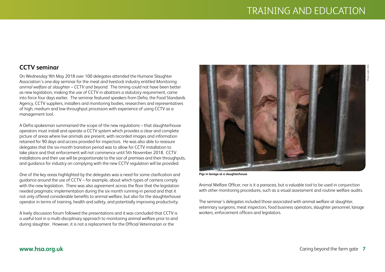Photo credit: HSA

# **CCTV seminar**

On Wednesday 9th May 2018 over 100 delegates attended the Humane Slaughter Association's one-day seminar for the meat and livestock industry entitled *Monitoring animal welfare at slaughter* – *CCTV and beyond*. The timing could not have been better as new legislation, making the use of CCTV in abattoirs a statutory requirement, came into force four days earlier. The seminar featured speakers from Defra, the Food Standards Agency, CCTV suppliers, installers and monitoring bodies, researchers and representatives of high, medium and low-throughput processors with experience of using CCTV as a management tool.

A Defra spokesman summarised the scope of the new regulations – that slaughterhouse operators must install and operate a CCTV system which provides a clear and complete picture of areas where live animals are present, with recorded images and information retained for 90 days and access provided for inspectors. He was also able to reassure delegates that the six-month transition period was to allow for CCTV installation to take place and that enforcement will not commence until 5th November 2018. CCTV installations and their use will be proportionate to the size of premises and their throughputs, and guidance for industry on complying with the new CCTV regulation will be provided.

One of the key areas highlighted by the delegates was a need for some clarification and guidance around the use of CCTV – for example, about which types of camera comply with the new legislation. There was also agreement across the floor that the legislation needed pragmatic implementation during the six month running-in period and that it not only offered considerable benefits to animal welfare, but also for the slaughterhouse operator in terms of training, health and safety, and potentially improving productivity.

A lively discussion forum followed the presentations and it was concluded that CCTV is a useful tool in a multi-disciplinary approach to monitoring animal welfare prior to and during slaughter. However, it is not a replacement for the Official Veterinarian or the

**Pigs in lairage at a slaughterhouse**

Animal Welfare Officer, nor is it a panacea, but a valuable tool to be used in conjunction with other monitoring procedures, such as a visual assessment and routine welfare audits.

The seminar's delegates included those associated with animal welfare at slaughter, veterinary surgeons, meat inspectors, food business operators, slaughter personnel, lairage workers, enforcement officers and legislators.

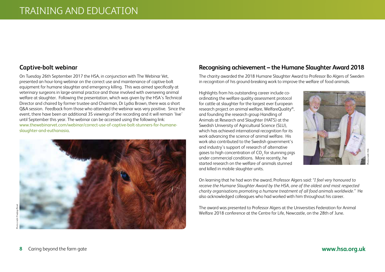## **Captive-bolt webinar**

On Tuesday 26th September 2017 the HSA, in conjunction with The Webinar Vet, presented an hour-long webinar on the correct use and maintenance of captive-bolt equipment for humane slaughter and emergency killing. This was aimed specifically at veterinary surgeons in large-animal practice and those involved with overseeing animal welfare at slaughter. Following the presentation, which was given by the HSA's Technical Director and chaired by former trustee and Chairman, Dr Lydia Brown, there was a short Q&A session. Feedback from those who attended the webinar was very positive. Since the event, there have been an additional 35 viewings of the recording and it will remain 'live' until September this year. The webinar can be accessed using the following link: www.thewebinarvet.com/webinar/correct-use-of-captive-bolt-stunners-for-humaneslaughter-and-euthanasia.



## **Recognising achievement – the Humane Slaughter Award 2018**

The charity awarded the 2018 Humane Slaughter Award to Professor Bo Algers of Sweden in recognition of his ground-breaking work to improve the welfare of food animals.

Highlights from his outstanding career include coordinating the welfare quality assessment protocol for cattle at slaughter for the largest ever European research project on animal welfare, WelfareQuality®, and founding the research group Handling of Animals at Research and Slaughter (HATS) at the Swedish University of Agricultural Science (SLU), which has achieved international recognition for its work advancing the science of animal welfare. His work also contributed to the Swedish government's and industry's support of research of alternative gases to high concentration of CO $_{\rm 2}$  for stunning pigs under commercial conditions. More recently, he started research on the welfare of animals stunned and killed in mobile slaughter units.



On learning that he had won the award, Professor Algers said: *"I feel very honoured to receive the Humane Slaughter Award by the HSA, one of the oldest and most respected charity organisations promoting a humane treatment of all food animals worldwide."* He also acknowledged colleagues who had worked with him throughout his career.

The award was presented to Professor Algers at the Universities Federation for Animal Welfare 2018 conference at the Centre for Life, Newcastle, on the 28th of June.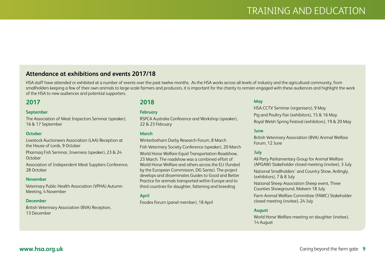## **Attendance at exhibitions and events 2017/18**

HSA staff have attended or exhibited at a number of events over the past twelve months. As the HSA works across all levels of industry and the agricultural community, from smallholders keeping a few of their own animals to large-scale farmers and producers, it is important for the charity to remain engaged with these audiences and highlight the work of the HSA to new audiences and potential supporters.

## **2017**

#### **September**

The Association of Meat Inspectors Seminar (speaker), 16 & 17 September

#### **October**

Livestock Auctioneers Association (LAA) Reception at the House of Lords, 9 October

Pharmaq Fish Seminar, Inverness (speaker), 23 & 24 **October** 

Association of Independent Meat Suppliers Conference, 28 October

#### **November**

Veterinary Public Health Association (VPHA) Autumn Meeting, 4 November

### **December**

British Veterinary Association (BVA) Reception, 13 December

## **2018**

#### **February**

RSPCA Australia Conference and Workshop (speaker), 22 & 23 February

### **March**

Winterbotham Darby Research Forum, 8 March Fish Veterinary Society Conference (speaker), 20 March World Horse Welfare Equid Transportation Roadshow, 23 March. The roadshow was a combined effort of World Horse Welfare and others across the EU (funded by the European Commission, DG Sante). The project develops and disseminates Guides to Good and Better Practice for animals transported within Europe and to third countries for slaughter, fattening and breeding

#### **April**

Foodex Forum (panel member), 18 April

## **May**

HSA CCTV Seminar (organisers), 9 May Pig and Poultry Fair (exhibitors), 15 & 16 May Royal Welsh Spring Festival (exhibitors), 19 & 20 May

### **June**

British Veterinary Association (BVA) Animal Welfare Forum, 12 June

### **July**

All Party Parliamentary Group for Animal Welfare (APGAW) Stakeholder closed meeting (invitee), 3 July National Smallholders' and Country Show, Ardingly,

(exhibitors), 7 & 8 July

National Sheep Association Sheep event, Three Counties Showground, Malvern 18 July

Farm Animal Welfare Committee (FAWC) Stakeholder closed meeting (invitee), 24 July

#### **August**

World Horse Welfare meeting on slaughter (invitee), 14 August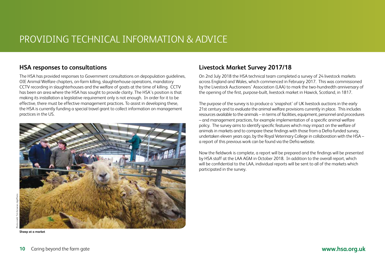# PROVIDING TECHNICAL INFORMATION & ADVICE

## **HSA responses to consultations**

The HSA has provided responses to Government consultations on depopulation guidelines, OIE Animal Welfare chapters, on-farm killing, slaughterhouse operations, mandatory CCTV recording in slaughterhouses and the welfare of goats at the time of killing. CCTV has been an area where the HSA has sought to provide clarity. The HSA's position is that making its installation a legislative requirement only is not enough. In order for it to be effective, there must be effective management practices. To assist in developing these, the HSA is currently funding a special travel grant to collect information on management practices in the US.



**Sheep at a market**

## **Livestock Market Survey 2017/18**

On 2nd July 2018 the HSA technical team completed a survey of 24 livestock markets across England and Wales, which commenced in February 2017. This was commissioned by the Livestock Auctioneers' Association (LAA) to mark the two-hundredth anniversary of the opening of the first, purpose-built, livestock market in Hawick, Scotland, in 1817.

The purpose of the survey is to produce a 'snapshot' of UK livestock auctions in the early 21st century and to evaluate the animal welfare provisions currently in place. This includes resources available to the animals – in terms of facilities, equipment, personnel and procedures – and management practices, for example implementation of a specific animal welfare policy. The survey aims to identify specific features which may impact on the welfare of animals in markets and to compare these findings with those from a Defra-funded survey, undertaken eleven years ago, by the Royal Veterinary College in collaboration with the HSA – a report of this previous work can be found via the Defra website.

Now the fieldwork is complete, a report will be prepared and the findings will be presented by HSA staff at the LAA AGM in October 2018. In addition to the overall report, which will be confidential to the LAA, individual reports will be sent to all of the markets which participated in the survey.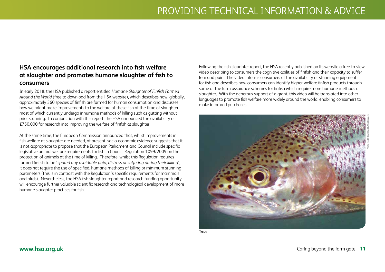# **HSA encourages additional research into fish welfare at slaughter and promotes humane slaughter of fish to consumers**

In early 2018, the HSA published a report entitled *Humane Slaughter of Finfish Farmed Around the World* (free to download from the HSA website), which describes how, globally, approximately 360 species of finfish are farmed for human consumption and discusses how we might make improvements to the welfare of these fish at the time of slaughter, most of which currently undergo inhumane methods of killing such as gutting without prior stunning. In conjunction with this report, the HSA announced the availability of £750,000 for research into improving the welfare of finfish at slaughter.

At the same time, the European Commission announced that, whilst improvements in fish welfare at slaughter are needed, at present, socio-economic evidence suggests that it is not appropriate to propose that the European Parliament and Council include specific legislative animal welfare requirements for fish in Council Regulation 1099/2009 on the protection of animals at the time of killing. Therefore, whilst this Regulation requires farmed finfish to be '*spared any avoidable pain, distress or suffering during their killing*', it does not require the use of specified, humane methods of killing or minimum stunning parameters (this is in contrast with the Regulation's specific requirements for mammals and birds). Nevertheless, the HSA fish slaughter report and research funding opportunity will encourage further valuable scientific research and technological development of more humane slaughter practices for fish.

Following the fish slaughter report, the HSA recently published on its website a free-to-view video describing to consumers the cognitive abilities of finfish and their capacity to suffer fear and pain. The video informs consumers of the availability of stunning equipment for fish and describes how consumers can identify higher-welfare finfish products through some of the farm assurance schemes for finfish which require more humane methods of slaughter. With the generous support of a grant, this video will be translated into other languages to promote fish welfare more widely around the world, enabling consumers to make informed purchases.



**Trout** 

Photo credit: Karel Bartik/Shutterstock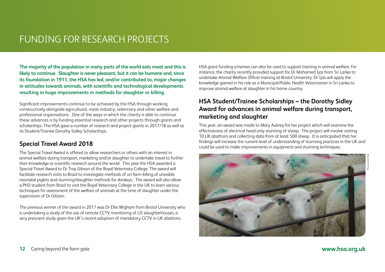# FUNDING FOR RESEARCH PROJECTS

**The majority of the population in many parts of the world eats meat and this is likely to continue. Slaughter is never pleasant, but it can be humane and, since its foundation in 1911, the HSA has led, and/or contributed to, major changes in attitudes towards animals, with scientific and technological developments resulting in huge improvements in methods for slaughter or killing.** 

Significant improvements continue to be achieved by the HSA through working constructively alongside agricultural, meat industry, veterinary and other welfare and professional organisations. One of the ways in which the charity is able to continue these advances is by funding essential research and other projects through grants and scholarships. The HSA gave a number of research and project grants in 2017/18 as well as its Student/Trainee Dorothy Sidley Scholarships.

## **Special Travel Award 2018**

The Special Travel Award is offered to allow researchers or others with an interest in animal welfare during transport, marketing and/or slaughter to undertake travel to further their knowledge or scientific research around the world. This year the HSA awarded a Special Travel Award to Dr Troy Gibson of the Royal Veterinary College. The award will facilitate research visits to Brazil to investigate methods of on-farm killing of unviable neonatal piglets and stunning/slaughter methods for donkeys. The award will also allow a PhD student from Brazil to visit the Royal Veterinary College in the UK to learn various techniques for assessment of the welfare of animals at the time of slaughter under the supervision of Dr Gibson.

The previous winner of the award in 2017 was Dr Ellie Wigham from Bristol University who is undertaking a study of the use of remote CCTV monitoring of US slaughterhouses, a very prescient study given the UK's recent adoption of mandatory CCTV in UK abattoirs.

HSA grant funding schemes can also be used to support training in animal welfare. For instance, the charity recently provided support for Dr Mohamed Ijas from Sri Lanka to undertake Animal Welfare Officer training at Bristol University. Dr Ijas will apply the knowledge gained in his role as a Municipal/Public Health Veterinarian in Sri Lanka to improve animal welfare at slaughter in his home country.

# **HSA Student/Trainee Scholarships – the Dorothy Sidley Award for advances in animal welfare during transport, marketing and slaughter**

This year, an award was made to Mary Aubrey for her project which will examine the effectiveness of electrical head-only stunning of sheep. The project will involve visiting 10 UK abattoirs and collecting data from at least 500 sheep. It is anticipated that her findings will increase the current level of understanding of stunning practices in the UK and could be used to make improvements in equipment and stunning techniques.

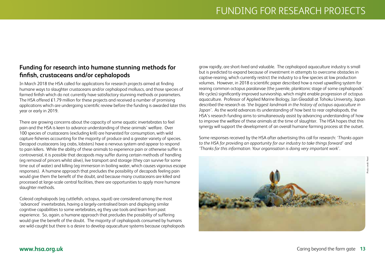# **Funding for research into humane stunning methods for finfish, crustaceans and/or cephalopods**

In March 2018 the HSA called for applications for research projects aimed at finding humane ways to slaughter crustaceans and/or cephalopod molluscs, and those species of farmed finfish which do not currently have satisfactory stunning methods or parameters. The HSA offered £1.79 million for these projects and received a number of promising applications which are undergoing scientific review before the funding is awarded later this year or early in 2019.

There are growing concerns about the capacity of some aquatic invertebrates to feel pain and the HSA is keen to advance understanding of these animals' welfare. Over 100 species of crustaceans (excluding krill) are harvested for consumption, with wild capture fisheries accounting for the majority of produce and a greater variety of species. Decapod crustaceans (eg crabs, lobsters) have a nervous system and appear to respond to pain killers. While the ability of these animals to experience pain or otherwise suffer is controversial, it is possible that decapods may suffer during certain methods of handling (eg removal of pincers whilst alive), live transport and storage (they can survive for some time out of water) and killing (eg immersion in boiling water, which causes vigorous escape responses). A humane approach that precludes the possibility of decapods feeling pain would give them the benefit of the doubt, and because many crustaceans are killed and processed at large-scale central facilities, there are opportunities to apply more humane slaughter methods.

Coleoid cephalopods (eg cuttlefish, octopus, squid) are considered among the most 'advanced' invertebrates, having a largely-centralised brain and displaying similar cognitive capabilities to some vertebrates, eg they use tools and learn from past experience. So, again, a humane approach that precludes the possibility of suffering would give the benefit of the doubt. The majority of cephalopods consumed by humans are wild-caught but there is a desire to develop aquaculture systems because cephalopods

grow rapidly, are short-lived and valuable. The cephalopod aquaculture industry is small but is predicted to expand because of investment in attempts to overcome obstacles in captive-rearing, which currently restrict the industry to a few species at low production volumes. However, in 2018 a scientific paper described how a novel upwelling system for rearing common octopus paralarvae (the juvenile, planktonic stage of some cephalopods' life cycles) significantly improved survivorship, which might enable progression of octopus aquaculture. Professor of Applied Marine Biology, Ian Gleadall at Tohoku University, Japan described the research as *'the biggest landmark in the history of octopus aquaculture in Japan'*. As the world advances its understanding of how best to rear cephalopods, the HSA's research funding aims to simultaneously assist by advancing understanding of how to improve the welfare of these animals at the time of slaughter. The HSA hopes that this synergy will support the development of an overall humane farming process at the outset.

Some responses received by the HSA after advertising this call for research: *'Thanks again to the HSA for providing an opportunity for our industry to take things forward'* and *'Thanks for this information. Your organisation is doing very important work'*.

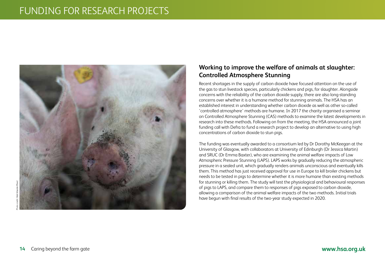# FUNDING FOR RESEARCH PROJECTS



# **Working to improve the welfare of animals at slaughter: Controlled Atmosphere Stunning**

Recent shortages in the supply of carbon dioxide have focused attention on the use of the gas to stun livestock species, particularly chickens and pigs, for slaughter. Alongside concerns with the reliability of the carbon dioxide supply, there are also long-standing concerns over whether it is a humane method for stunning animals. The HSA has an established interest in understanding whether carbon dioxide as well as other so-called 'controlled atmosphere' methods are humane. In 2017 the charity organised a seminar on Controlled Atmosphere Stunning (CAS) methods to examine the latest developments in research into these methods. Following on from the meeting, the HSA announced a joint funding call with Defra to fund a research project to develop an alternative to using high concentrations of carbon dioxide to stun pigs.

The funding was eventually awarded to a consortium led by Dr Dorothy McKeegan at the University of Glasgow, with collaborators at University of Edinburgh (Dr Jessica Martin) and SRUC (Dr Emma Baxter), who are examining the animal welfare impacts of Low Atmospheric Pressure Stunning (LAPS). LAPS works by gradually reducing the atmospheric pressure in a sealed unit, which gradually renders animals unconscious and eventually kills them. This method has just received approval for use in Europe to kill broiler chickens but needs to be tested in pigs to determine whether it is more humane than existing methods for stunning or killing them. The study will test the physiological and behavioural responses of pigs to LAPS, and compare them to responses of pigs exposed to carbon dioxide, allowing a comparison of the animal welfare impacts of the two methods. Initial trials have begun with final results of the two-year study expected in 2020.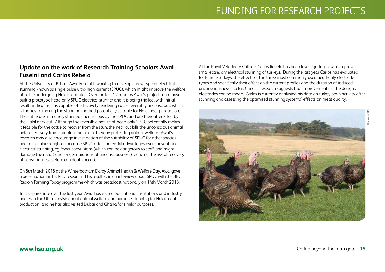# **Update on the work of Research Training Scholars Awal Fuseini and Carlos Rebelo**

At the University of Bristol, Awal Fuseini is working to develop a new type of electrical stunning known as single pulse ultra-high current (SPUC), which might improve the welfare of cattle undergoing Halal slaughter. Over the last 12 months Awal's project team have built a prototype head-only SPUC electrical stunner and it is being trialled, with initial results indicating it is capable of effectively rendering cattle reversibly unconscious, which is the key to making the stunning method potentially suitable for Halal beef production. The cattle are humanely stunned unconscious by the SPUC and are thereafter killed by the Halal neck cut. Although the reversible nature of head-only SPUC potentially makes it feasible for the cattle to recover from the stun, the neck cut kills the unconscious animal before recovery from stunning can begin, thereby protecting animal welfare. Awal's research may also encourage investigation of the suitability of SPUC for other species and for secular slaughter, because SPUC offers potential advantages over conventional electrical stunning, eg fewer convulsions (which can be dangerous to staff and might damage the meat) and longer durations of unconsciousness (reducing the risk of recovery of consciousness before can death occur).

On 8th March 2018 at the Winterbotham Darby Animal Health & Welfare Day, Awal gave a presentation on his PhD research. This resulted in an interview about SPUC with the BBC Radio 4 Farming Today programme which was broadcast nationally on 14th March 2018.

In his spare time over the last year, Awal has visited educational institutions and industry bodies in the UK to advise about animal welfare and humane stunning for Halal meat production, and he has also visited Dubai and Ghana for similar purposes.

At the Royal Veterinary College, Carlos Rebelo has been investigating how to improve small-scale, dry electrical stunning of turkeys. During the last year Carlos has evaluated for female turkeys, the effects of the three most commonly used head-only electrode types and specifically their effect on the current profiles and the duration of induced unconsciousness. So far, Carlos's research suggests that improvements in the design of electrodes can be made. Carlos is currently analysing his data on turkey brain activity after stunning and assessing the optimised stunning systems' effects on meat quality.

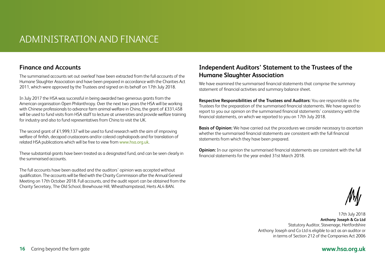# ADMINISTRATION AND FINANCE

# **Finance and Accounts**

The summarised accounts set out overleaf have been extracted from the full accounts of the Humane Slaughter Association and have been prepared in accordance with the Charities Act 2011, which were approved by the Trustees and signed on its behalf on 17th July 2018.

In July 2017 the HSA was successful in being awarded two generous grants from the American organisation Open Philanthropy. Over the next two years the HSA will be working with Chinese professionals to advance farm animal welfare in China, the grant of £331,458 will be used to fund visits from HSA staff to lecture at universities and provide welfare training for industry and also to fund representatives from China to visit the UK.

The second grant of  $£1,999,137$  will be used to fund research with the aim of improving welfare of finfish, decapod crustaceans and/or coleoid cephalopods and for translation of related HSA publications which will be free to view from www.hsa.org.uk.

These substantial grants have been treated as a designated fund, and can be seen clearly in the summarised accounts.

The full accounts have been audited and the auditors' opinion was accepted without qualification. The accounts will be filed with the Charity Commission after the Annual General Meeting on 17th October 2018. Full accounts, and the audit report can be obtained from the Charity Secretary, The Old School, Brewhouse Hill, Wheathampstead, Herts AL4 8AN.

# **Independent Auditors' Statement to the Trustees of the Humane Slaughter Association**

We have examined the summarised financial statements that comprise the summary statement of financial activities and summary balance sheet.

**Respective Responsibilities of the Trustees and Auditors:** You are responsible as the Trustees for the preparation of the summarised financial statements. We have agreed to report to you our opinion on the summarised financial statements' consistency with the financial statements, on which we reported to you on 17th July 2018.

**Basis of Opinion:** We have carried out the procedures we consider necessary to ascertain whether the summarised financial statements are consistent with the full financial statements from which they have been prepared.

**Opinion:** In our opinion the summarised financial statements are consistent with the full financial statements for the year ended 31st March 2018.

17th July 2018 **Anthony Joseph & Co Ltd** Statutory Auditor, Stevenage, Hertfordshire Anthony Joseph and Co Ltd is eligible to act as an auditor or in terms of Section 212 of the Companies Act 2006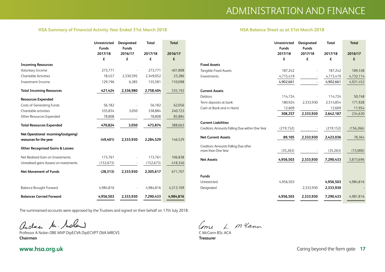### **HSA Summary of Financial Activity Year Ended 31st March 2018 HSA Balance Sheet as at 31st March 2018**

|                                             | <b>Unrestricted</b><br><b>Funds</b> | <b>Designated</b><br><b>Funds</b> | Total      | <b>Total</b> |
|---------------------------------------------|-------------------------------------|-----------------------------------|------------|--------------|
|                                             | 2017/18                             | 2016/17                           | 2017/18    | 2016/17      |
|                                             | £                                   | £                                 | £          | £            |
| <b>Incoming Resources</b>                   |                                     |                                   |            |              |
| Voluntary Income                            | 273,771                             |                                   | 273.771    | 401,808      |
| <b>Charitable Activities</b>                | 18,457                              | 2,330,595                         | 2,349,052  | 23,286       |
| Investment Income                           | 129,196                             | 6,385                             | 135,581    | 110,098      |
| <b>Total Incoming Resources</b>             | 421,424                             | 2,336,980                         | 2,758,404  | 535,192      |
| <b>Resources Expended</b>                   |                                     |                                   |            |              |
| <b>Costs of Generating Funds</b>            | 56,182                              |                                   | 56,182     | 62,056       |
| Charitable activities                       | 335,834                             | 3,050                             | 338,884    | 240,723      |
| Other Resources Expended                    | 78,808                              |                                   | 78,808     | 85,884       |
| <b>Total Resources Expended</b>             | 470,824                             | 3,050                             | 473,874    | 388,663      |
| Net Operational incoming/(outgoing)         |                                     |                                   |            |              |
| resources for the year                      | (49, 401)                           | 2,333,930                         | 2,284,529  | 146,529      |
| <b>Other Recognised Gains &amp; Losses:</b> |                                     |                                   |            |              |
| Net Realised Gain on Investments            | 173,761                             |                                   | 173,761    | 106,838      |
| Unrealised gains (losses) on investments    | (152, 673)                          |                                   | (152, 673) | 418,340      |
| <b>Net Movement of Funds</b>                | (28, 313)                           | 2,333,930                         | 2,305,617  | 671,707      |
|                                             |                                     |                                   |            |              |
| <b>Balance Brought Forward</b>              | 4,984,816                           |                                   | 4,984,816  | 4,313,109    |
| <b>Balances Carried Forward</b>             | 4,956,503                           | 2,333,930                         | 7,290,433  | 4,984,816    |

The summarised accounts were approved by the Trustees and signed on their behalf on 17th July 2018.

andre Mr. Moland

Professor A Nolan OBE MVP DipECVA DipECVPT DVA MRCVS **Chairman**

# Come L. M. Clann

C McCann BSc ACA **Treasurer**

|                                                | Unrestricted | Designated   | <b>Total</b> | <b>Total</b> |
|------------------------------------------------|--------------|--------------|--------------|--------------|
|                                                | <b>Funds</b> | <b>Funds</b> |              |              |
|                                                | 2017/18      | 2017/18      | 2017/18      | 2016/17      |
|                                                | £            | £            | £            | £            |
| <b>Fixed Assets</b>                            |              |              |              |              |
| <b>Tangible Fixed Assets</b>                   | 187,242      |              | 187,242      | 189,338      |
| Investments                                    | 4,715,419    |              | 4,715,419    | 4,732,114    |
|                                                | 4,902,661    |              | 4,902,661    | 4,921,452    |
| <b>Current Assets</b>                          |              |              |              |              |
| Debtors                                        | 114,724      |              | 114,724      | 50,748       |
| Term deposits at bank                          | 180,924      | 2,333,930    | 2,514,854    | 171,928      |
| Cash at Bank and in Hand                       | 12,609       |              | 12,609       | 11,954       |
|                                                | 308,257      | 2,333,930    | 2,642,187    | 234,630      |
| <b>Current Liabilities</b>                     |              |              |              |              |
| Creditors: Amounts Falling Due within One Year | (219, 152)   |              | (219, 152)   | (156, 266)   |
| <b>Net Current Assets</b>                      | 89,105       | 2,333,930    | 2,423,036    | 78,364       |
| Creditors: Amounts Falling Due after           |              |              |              |              |
| more than One Year                             | (35, 263)    |              | (35,263)     | (15,000)     |
| <b>Net Assets</b>                              | 4,956,503    | 2,333,930    | 7,290,433    | 5,873,696    |
|                                                |              |              |              |              |
| <b>Funds</b>                                   |              |              |              |              |
| Unrestricted                                   | 4,956,503    |              | 4,956,503    | 4,984,816    |
| Designated                                     |              | 2,333,930    | 2,333,930    |              |
|                                                | 4,956,503    | 2,333,930    | 7,290,433    | 4,981,816    |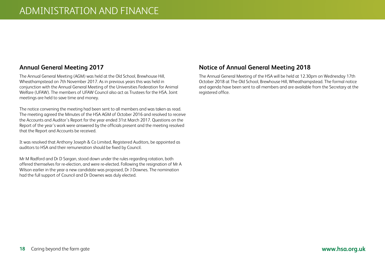## **Annual General Meeting 2017**

The Annual General Meeting (AGM) was held at the Old School, Brewhouse Hill, Wheathampstead on 7th November 2017. As in previous years this was held in conjunction with the Annual General Meeting of the Universities Federation for Animal Welfare (UFAW). The members of UFAW Council also act as Trustees for the HSA. Joint meetings are held to save time and money.

The notice convening the meeting had been sent to all members and was taken as read. The meeting agreed the Minutes of the HSA AGM of October 2016 and resolved to receive the Accounts and Auditor's Report for the year ended 31st March 2017. Questions on the Report of the year's work were answered by the officials present and the meeting resolved that the Report and Accounts be received.

It was resolved that Anthony Joseph & Co Limited, Registered Auditors, be appointed as auditors to HSA and their remuneration should be fixed by Council.

Mr M Radford and Dr D Sargan, stood down under the rules regarding rotation, both offered themselves for re-election, and were re-elected. Following the resignation of Mr A Wilson earlier in the year a new candidate was proposed, Dr J Downes. The nomination had the full support of Council and Dr Downes was duly elected.

## **Notice of Annual General Meeting 2018**

The Annual General Meeting of the HSA will be held at 12.30pm on Wednesday 17th October 2018 at The Old School, Brewhouse Hill, Wheathampstead. The formal notice and agenda have been sent to all members and are available from the Secretary at the registered office.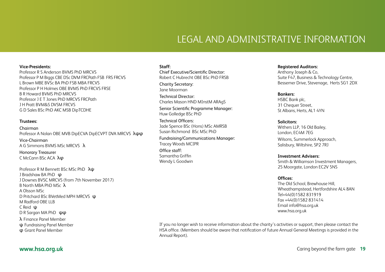# LEGAL AND ADMINISTRATIVE INFORMATION

#### **Vice-Presidents:**

Professor R S Anderson BVMS PhD MRCVS Professor P M Biggs CBE DSc DVM FRCPath FSB FRS FRCVS L Brown MBE BVSc BA PhD FSB MBA FRCVS Professor P H Holmes OBE BVMS PhD FRCVS FRSE B R Howard BVMS PhD MRCVS Professor J E T Jones PhD MRCVS FRCPath J H Pratt BVM&S DVSM FRCVS G D Sales BSc PhD AKC MSB DipTCDHE

#### **Trustees:**

Chairman Professor A Nolan OBE MVB DipECVA DipECVPT DVA MRCVS λψφ Vice-Chairman A G Simmons BVMS MSc MRCVS λ

Honorary Treasurer C McCann BSc ACA λφ

Professor R M Bennett BSc MSc PhD λψ J Bradshaw BA PhD φ J Downes BVSC MRCVS (from 7th November 2017) B North MBA PhD MSc λ A Olsson MSc D Pritchard BSc BVetMed MPH MRCVS ψ M Radford OBE LLB C Reid ψ D R Sargan MA PhD ψφ λ Finance Panel Member ψ Fundraising Panel Member φ Grant Panel Member

#### **Staff:**

Chief Executive/Scientific Director: Robert C Hubrecht OBE BSc PhD FRSB

Charity Secretary: Jane Moorman

Technical Director: Charles Mason HND MInstM ARAgS

Senior Scientific Programme Manager: Huw Golledge BSc PhD

Technical Officers: Jade Spence BSc (Hons) MSc AMRSB Susan Richmond BSc MSc PhD

Fundraising/Communications Manager: Tracey Woods MCIPR Office staff: Samantha Griffin Wendy L Goodwin

#### **Registered Auditors:**

Anthony Joseph & Co, Suite F47, Business & Technology Centre, Bessemer Drive, Stevenage, Herts SG1 2DX

#### **Bankers:**

HSBC Bank plc, 31 Chequer Street. St Albans, Herts, AL1 4YN

#### **Solicitors:**

Withers LLP, 16 Old Bailey, London, EC4M 7EG Wilsons, Summerlock Approach, Salisbury, Wiltshire, SP2 7RJ

#### **Investment Advisers:**

Smith & Williamson Investment Managers, 25 Moorgate, London EC2V 5NS

#### **Offices:**

The Old School, Brewhouse Hill, Wheathampstead, Hertfordshire AL4 8AN Tel+44(0)1582 831919 Fax +44(0)1582 831414 Email info@hsa.org.uk www.hsa.org.uk

If you no longer wish to receive information about the charity's activities or support, then please contact the HSA office. (Members should be aware that notification of future Annual General Meetings is provided in the Annual Report).